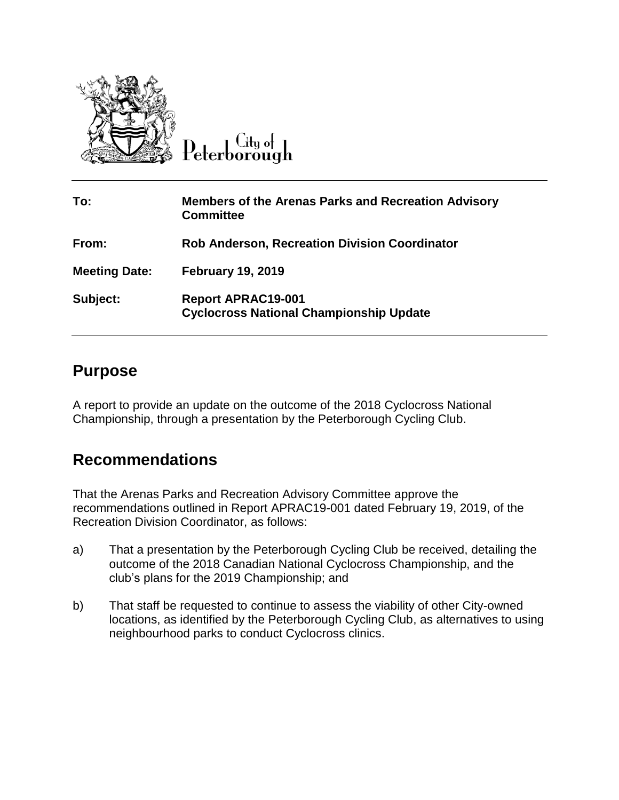

 $C$ ity of Peterborough

| To:                  | <b>Members of the Arenas Parks and Recreation Advisory</b><br><b>Committee</b> |
|----------------------|--------------------------------------------------------------------------------|
| From:                | <b>Rob Anderson, Recreation Division Coordinator</b>                           |
| <b>Meeting Date:</b> | <b>February 19, 2019</b>                                                       |
| Subject:             | <b>Report APRAC19-001</b><br><b>Cyclocross National Championship Update</b>    |

#### **Purpose**

A report to provide an update on the outcome of the 2018 Cyclocross National Championship, through a presentation by the Peterborough Cycling Club.

# **Recommendations**

That the Arenas Parks and Recreation Advisory Committee approve the recommendations outlined in Report APRAC19-001 dated February 19, 2019, of the Recreation Division Coordinator, as follows:

- a) That a presentation by the Peterborough Cycling Club be received, detailing the outcome of the 2018 Canadian National Cyclocross Championship, and the club's plans for the 2019 Championship; and
- b) That staff be requested to continue to assess the viability of other City-owned locations, as identified by the Peterborough Cycling Club, as alternatives to using neighbourhood parks to conduct Cyclocross clinics.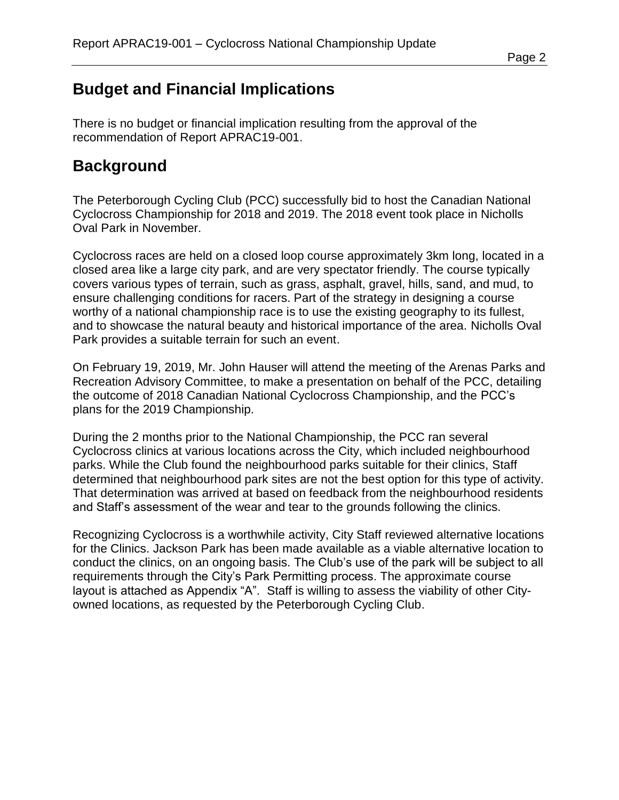# **Budget and Financial Implications**

There is no budget or financial implication resulting from the approval of the recommendation of Report APRAC19-001.

#### **Background**

The Peterborough Cycling Club (PCC) successfully bid to host the Canadian National Cyclocross Championship for 2018 and 2019. The 2018 event took place in Nicholls Oval Park in November.

Cyclocross races are held on a closed loop course approximately 3km long, located in a closed area like a large city park, and are very spectator friendly. The course typically covers various types of terrain, such as grass, asphalt, gravel, hills, sand, and mud, to ensure challenging conditions for racers. Part of the strategy in designing a course worthy of a national championship race is to use the existing geography to its fullest, and to showcase the natural beauty and historical importance of the area. Nicholls Oval Park provides a suitable terrain for such an event.

On February 19, 2019, Mr. John Hauser will attend the meeting of the Arenas Parks and Recreation Advisory Committee, to make a presentation on behalf of the PCC, detailing the outcome of 2018 Canadian National Cyclocross Championship, and the PCC's plans for the 2019 Championship.

During the 2 months prior to the National Championship, the PCC ran several Cyclocross clinics at various locations across the City, which included neighbourhood parks. While the Club found the neighbourhood parks suitable for their clinics, Staff determined that neighbourhood park sites are not the best option for this type of activity. That determination was arrived at based on feedback from the neighbourhood residents and Staff's assessment of the wear and tear to the grounds following the clinics.

Recognizing Cyclocross is a worthwhile activity, City Staff reviewed alternative locations for the Clinics. Jackson Park has been made available as a viable alternative location to conduct the clinics, on an ongoing basis. The Club's use of the park will be subject to all requirements through the City's Park Permitting process. The approximate course layout is attached as Appendix "A". Staff is willing to assess the viability of other Cityowned locations, as requested by the Peterborough Cycling Club.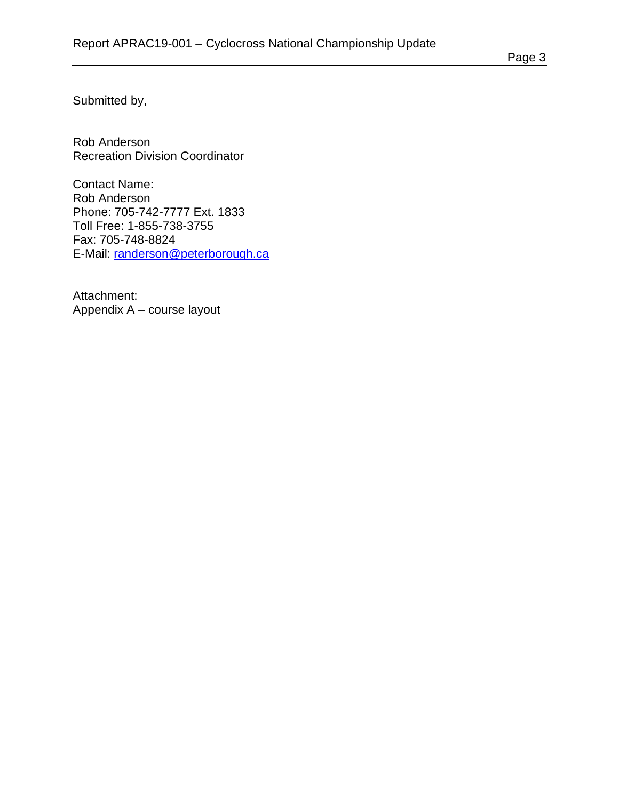Submitted by,

Rob Anderson Recreation Division Coordinator

Contact Name: Rob Anderson Phone: 705-742-7777 Ext. 1833 Toll Free: 1-855-738-3755 Fax: 705-748-8824 E-Mail: [randerson@peterborough.ca](mailto:randerson@peterborough.ca)

Attachment: Appendix A – course layout